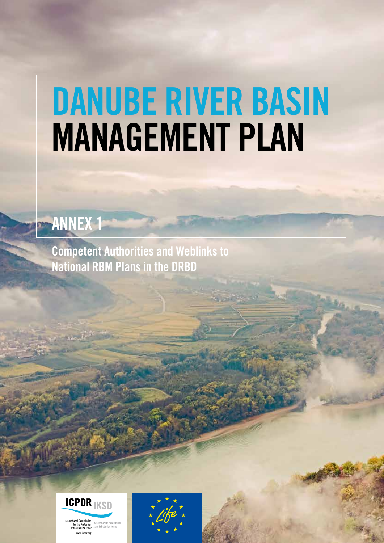# DANUBE RIVER BASIN MANAGEMENT PLAN

## ANNEX 1

Competent Authorities and Weblinks to National RBM Plans in the DRBD

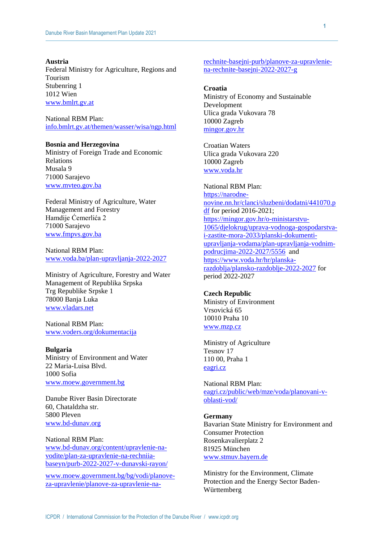#### **Austria**

Federal Ministry for Agriculture, Regions and Tourism Stubenring 1 1012 Wien [www.bmlrt.gv.at](http://www.bmlrt.gv.at/)

National RBM Plan: [info.bmlrt.gv.at/themen/wasser/wisa/ngp.html](https://info.bmlrt.gv.at/themen/wasser/wisa/ngp.html)

**Bosnia and Herzegovina** Ministry of Foreign Trade and Economic Relations Musala 9 71000 Sarajevo [www.mvteo.gov.ba](http://www.mvteo.gov.ba/)

Federal Ministry of Agriculture, Water Management and Forestry Hamdije Ćemerlića 2 71000 Sarajevo [www.fmpvs.gov.ba](http://www.fmpvs.gov.ba/)

National RBM Plan: [www.voda.ba/plan-upravljanja-2022-2027](http://www.voda.ba/plan-upravljanja-2022-2027)

Ministry of Agriculture, Forestry and Water Management of Republika Srpska Trg Republike Srpske 1 78000 Banja Luka [www.vladars.net](http://www.vladars.net/)

National RBM Plan: [www.voders.org/dokumentacija](http://www.voders.org/dokumentacija)

**Bulgaria** Ministry of Environment and Water 22 Maria-Luisa Blvd. 1000 Sofia [www.moew.government.bg](http://www.moew.government.bg/)

Danube River Basin Directorate 60, Chataldzha str. 5800 Pleven [www.bd-dunav.org](http://www.bd-dunav.org/)

National RBM Plan: [www.bd-dunav.org/content/upravlenie-na](http://www.bd-dunav.org/content/upravlenie-na-vodite/plan-za-upravlenie-na-rechniia-baseyn/purb-2022-2027-v-dunavski-rayon/)[vodite/plan-za-upravlenie-na-rechniia](http://www.bd-dunav.org/content/upravlenie-na-vodite/plan-za-upravlenie-na-rechniia-baseyn/purb-2022-2027-v-dunavski-rayon/)[baseyn/purb-2022-2027-v-dunavski-rayon/](http://www.bd-dunav.org/content/upravlenie-na-vodite/plan-za-upravlenie-na-rechniia-baseyn/purb-2022-2027-v-dunavski-rayon/)

[www.moew.government.bg/bg/vodi/planove](http://www.moew.government.bg/bg/vodi/planove-za-upravlenie/planove-za-upravlenie-na-rechnite-basejni-purb/planove-za-upravlenie-na-rechnite-basejni-2022-2027-g)[za-upravlenie/planove-za-upravlenie-na-](http://www.moew.government.bg/bg/vodi/planove-za-upravlenie/planove-za-upravlenie-na-rechnite-basejni-purb/planove-za-upravlenie-na-rechnite-basejni-2022-2027-g) [rechnite-basejni-purb/planove-za-upravlenie](http://www.moew.government.bg/bg/vodi/planove-za-upravlenie/planove-za-upravlenie-na-rechnite-basejni-purb/planove-za-upravlenie-na-rechnite-basejni-2022-2027-g)[na-rechnite-basejni-2022-2027-g](http://www.moew.government.bg/bg/vodi/planove-za-upravlenie/planove-za-upravlenie-na-rechnite-basejni-purb/planove-za-upravlenie-na-rechnite-basejni-2022-2027-g)

#### **Croatia**

Ministry of Economy and Sustainable Development Ulica grada Vukovara 78 10000 Zagreb [mingor.gov.hr](https://mingor.gov.hr/)

Croatian Waters Ulica grada Vukovara 220 10000 Zagreb [www.voda.hr](https://voda.hr/)

National RBM Plan: [https://narodne](https://narodne-novine.nn.hr/clanci/sluzbeni/dodatni/441070.pdf)[novine.nn.hr/clanci/sluzbeni/dodatni/441070.p](https://narodne-novine.nn.hr/clanci/sluzbeni/dodatni/441070.pdf) [df](https://narodne-novine.nn.hr/clanci/sluzbeni/dodatni/441070.pdf) for period 2016-2021; [https://mingor.gov.hr/o-ministarstvu-](https://mingor.gov.hr/o-ministarstvu-1065/djelokrug/uprava-vodnoga-gospodarstva-i-zastite-mora-2033/planski-dokumenti-upravljanja-vodama/plan-upravljanja-vodnim-podrucjima-2022-2027/5556)[1065/djelokrug/uprava-vodnoga-gospodarstva](https://mingor.gov.hr/o-ministarstvu-1065/djelokrug/uprava-vodnoga-gospodarstva-i-zastite-mora-2033/planski-dokumenti-upravljanja-vodama/plan-upravljanja-vodnim-podrucjima-2022-2027/5556)[i-zastite-mora-2033/planski-dokumenti](https://mingor.gov.hr/o-ministarstvu-1065/djelokrug/uprava-vodnoga-gospodarstva-i-zastite-mora-2033/planski-dokumenti-upravljanja-vodama/plan-upravljanja-vodnim-podrucjima-2022-2027/5556)[upravljanja-vodama/plan-upravljanja-vodnim](https://mingor.gov.hr/o-ministarstvu-1065/djelokrug/uprava-vodnoga-gospodarstva-i-zastite-mora-2033/planski-dokumenti-upravljanja-vodama/plan-upravljanja-vodnim-podrucjima-2022-2027/5556)[podrucjima-2022-2027/5556](https://mingor.gov.hr/o-ministarstvu-1065/djelokrug/uprava-vodnoga-gospodarstva-i-zastite-mora-2033/planski-dokumenti-upravljanja-vodama/plan-upravljanja-vodnim-podrucjima-2022-2027/5556) and [https://www.voda.hr/hr/planska](https://www.voda.hr/hr/planska-razdoblja/plansko-razdoblje-2022-2027)[razdoblja/plansko-razdoblje-2022-2027](https://www.voda.hr/hr/planska-razdoblja/plansko-razdoblje-2022-2027) for period 2022-2027

#### **Czech Republic**

Ministry of Environment Vrsovická 65 10010 Praha 10 [www.mzp.cz](http://www.mzp.cz/)

Ministry of Agriculture Tesnov 17 110 00, Praha 1 [eagri.cz](https://eagri.cz/)

National RBM Plan: [eagri.cz/public/web/mze/voda/planovani-v](https://eagri.cz/public/web/mze/voda/planovani-v-oblasti-vod/)[oblasti-vod/](https://eagri.cz/public/web/mze/voda/planovani-v-oblasti-vod/)

#### **Germany**

Bavarian State Ministry for Environment and Consumer Protection Rosenkavalierplatz 2 81925 München [www.stmuv.bayern.de](http://www.stmuv.bayern.de/)

Ministry for the Environment, Climate Protection and the Energy Sector Baden-Württemberg